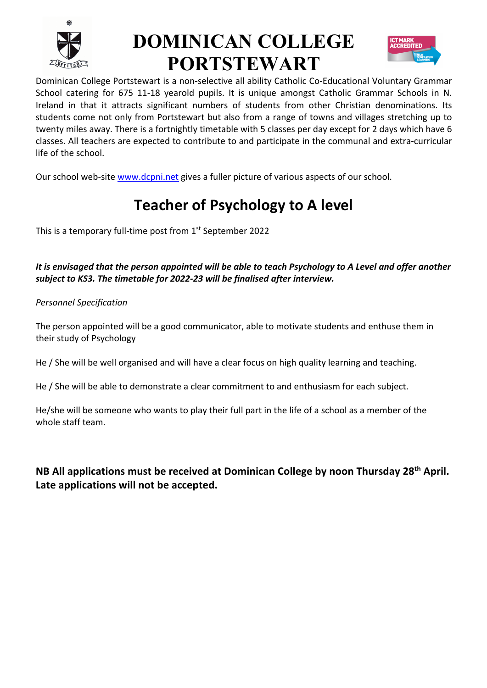

# **DOMINICAN COLLEGE PORTSTEWART**



Dominican College Portstewart is a non-selective all ability Catholic Co-Educational Voluntary Grammar School catering for 675 11-18 yearold pupils. It is unique amongst Catholic Grammar Schools in N. Ireland in that it attracts significant numbers of students from other Christian denominations. Its students come not only from Portstewart but also from a range of towns and villages stretching up to twenty miles away. There is a fortnightly timetable with 5 classes per day except for 2 days which have 6 classes. All teachers are expected to contribute to and participate in the communal and extra-curricular life of the school.

Our school web-site www.dcpni.net gives a fuller picture of various aspects of our school.

### **Teacher of Psychology to A level**

This is a temporary full-time post from 1<sup>st</sup> September 2022

*It is envisaged that the person appointed will be able to teach Psychology to A Level and offer another subject to KS3. The timetable for 2022-23 will be finalised after interview.* 

*Personnel Specification*

The person appointed will be a good communicator, able to motivate students and enthuse them in their study of Psychology

He / She will be well organised and will have a clear focus on high quality learning and teaching.

He / She will be able to demonstrate a clear commitment to and enthusiasm for each subject.

He/she will be someone who wants to play their full part in the life of a school as a member of the whole staff team.

**NB All applications must be received at Dominican College by noon Thursday 28th April. Late applications will not be accepted.**